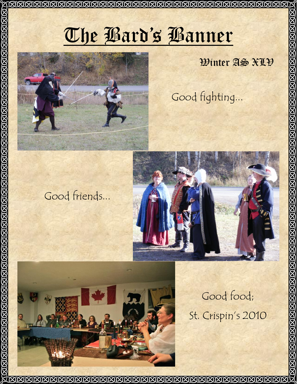

# Winter AS XLV

KJKJKJKJKJKJKJKJ

Good fighting...

# Good friends...





Good food; St. Crispin's 2010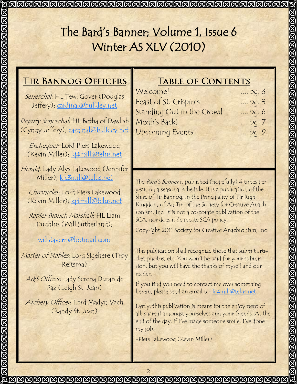## The Bard's Banner; Volume 1, Issue 6 Winter AS XLV (2010) **TIR BANNOG OFFICERS TABLE OF CONTENTS** Welcome! .... pg. 3 Seneschal: HL Tewl Gover (Douglas Feast of St. Crispin's .... pg. 3 Jeffery); [cardinal@bulkley.net](mailto:cardinal@bulkley.net) Standing Out in the Crowd .... pg. 6 Deputy Seneschal: HL Betha of Dawlish Medb's Back! ….pg. 7 (Cyndy Jeffery); [cardinal@bulkley.net](mailto:cardinal@bulkley.net) Upcoming Events .... pg. 9 Exchequer: Lord Piers Lakewood (Kevin Miller); [kj4mill@telus.net](mailto:kj2mill@lakescom.net) Herald: Lady Alys Lakewood (Jennifer Miller); [kjc3mill@telus.net](mailto:kjc3mill@telus.net) The Bard's Banner is published (hopefully) 4 times per year, on a seasonal schedule. It is a publication of the Chronicler: Lord Piers Lakewood Shire of Tir Bannog, in the Principality of Tir Righ, (Kevin Miller); [kj4mill@telus.net](mailto:kj2mill@lakescom.net) Kingdom of An Tir, of the Society for Creative Anachronism, Inc. It is not a corporate publication of the Rapier Branch Marshall: HL Liam SCA, nor does it delineate SCA policy. Dughlus (Will Sutherland); Copyright 2011 Society for Creative Anachronism, Inc [willstavern@hotmail.com](mailto:willstavern@hotmail.com) This publication shall recognize those that submit arti-Master of Stables: Lord Sigehere (Troy cles, photos, etc. You won't be paid for your submis-Reitsma) sion, but you will have the thanks of myself and our readers. A&S Officer: Lady Serena Duran de If you find you need to contact me over something Paz (Leigh St. Jean) herein, please send an email to: [kj4mill@telus.net](mailto:kj2mill@lakescom.net) Archery Officer: Lord Madyn Vach Lastly, this publication is meant for the enjoyment of (Randy St. Jean) all; share it amongst yourselves and your friends. At the end of the day, if I've made someone smile, I've done my job. -Piers Lakewood (Kevin Miller) $\bar{\mathbf{X}}$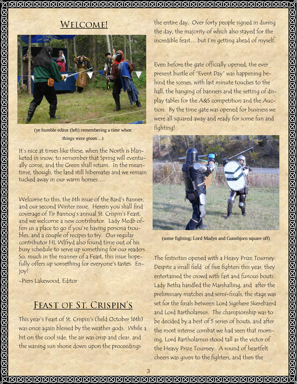#### <u> NANANANANANANANANANANANANANANAN</u>

## **WELCOME!**



(ye humble editor (left) remembering a time when things were green…)

It's nice at times like these, when the North is blanketed in snow, to remember that Spring will eventually come, and the Green shall return. In the meantime, though, the land still hibernates and we remain tucked away in our warm homes….

Welcome to this, the 6th issue of the Bard's Banner, and our second Winter issue. Herein you shall find coverage of Tir Bannog's annual St. Crispin's Feast, and we welcome a new contributor. Lady Medb offers us a place to go if you're having persona troubles, and a couple of recipes to try. Our regular contributor HL Wlfryd also found time out of his busy schedule to serve up something for our readers. So, much in the manner of a Feast, this issue hopefully offers up something for everyone's tastes. Enjoy!

-Piers Lakewood, Editor

## **FEAST OF ST. CRISPIN'S**

This year's Feast of St. Crispin's (held October 16th) was once again blessed by the weather gods. While a bit on the cool side, the air was crisp and clear, and the waning sun shone down upon the proceedings

the entire day. Over forty people signed in during the day, the majority of which also stayed for the incredible feast… but I'm getting ahead of myself.

Even before the gate officially opened, the ever present bustle of "Event Day" was happening behind the scenes, with last minute touches to the hall, the hanging of banners and the setting of display tables for the A&S competition and the Auction. By the time gate was opened for business we were all squared away and ready for some fun and fighting!



(some fighting; Lord Madyn and Gunnbjorn square off)

The festivities opened with a Heavy Prize Tourney. Despite a small field of five fighters this year, they entertained the crowd with fast and furious bouts. Lady Betha handled the Marshalling, and after the preliminary matches and semi-finals, the stage was set for the finals between Lord Sigehere Skerebaerd and Lord Bartholamus. The championship was to be decided by a best of 5 series of bouts, and after the most intense combat we had seen that morning, Lord Bartholamus stood tall as the victor of the Heavy Prize Tourney. A round of heartfelt cheers was given to the fighters, and then the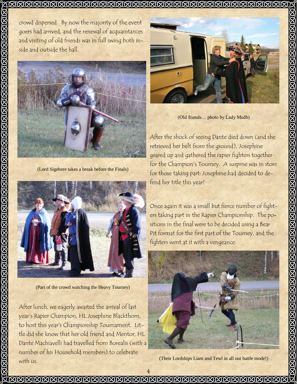#### <u> NANANANANANANANANANANANANANANANANANAN</u>

crowd dispersed. By now the majority of the event goers had arrived, and the renewal of acquaintances and visiting of old friends was in full swing both inside and outside the hall.



(Lord Sigehere takes a break before the Finals)



(Part of the crowd watching the Heavy Tourney)

After lunch, we eagerly awaited the arrival of last year's Rapier Champion, HL Josephine Blackthorn, to host this year's Championship Tournament. Little did she know that her old friend and Mentor, HL Dante Machiavelli had travelled from Borealis (with a number of his Household members) to celebrate with us.



(Old friends… photo by Lady Medb)

After the shock of seeing Dante died down (and she retrieved her belt from the ground), Josephine geared up and gathered the rapier fighters together for the Champion's Tourney. A surprise was in store for those taking part: Josephine had decided to defend her title this year!

Once again it was a small but fierce number of fighters taking part in the Rapier Championship. The positions in the final were to be decided using a Bear Pit format for the first part of the Tourney, and the fighters went at it with a vengeance.



(Their Lordships Liam and Tewl in all out battle mode!)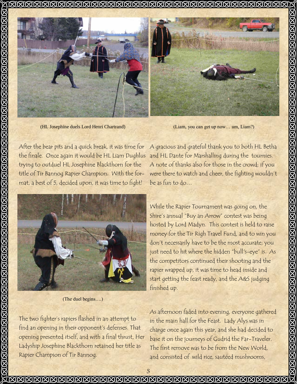

(HL Josephine duels Lord Henri Chartrand)

(Liam, you can get up now… um, Liam?)

After the bear pits and a quick break, it was time for the finale. Once again it would be HL Liam Dughlus trying to outduel HL Josephine Blackthorn for the title of Tir Bannog Rapier Champion. With the format, a best of 5, decided upon, it was time to fight!



(The duel begins….)

The two fighter's rapiers flashed in an attempt to find an opening in their opponent's defenses. That opening presented itself, and with a final thrust, Her Ladyship Josephine Blackthorn retained her title as Rapier Champion of Tir Bannog.

A gracious and grateful thank you to both HL Betha and HL Dante for Marshalling during the tournies. A note of thanks also for those in the crowd; if you were there to watch and cheer, the fighting wouldn't be as fun to do…

While the Rapier Tournament was going on, the Shire's annual "Buy an Arrow" contest was being hosted by Lord Madyn. This contest is held to raise money for the Tir Righ Travel Fund, and to win you don't necessarily have to be the most accurate; you just need to hit where the hidden "bull's-eye" is. As the competitors continued their shooting and the rapier wrapped up, it was time to head inside and start getting the feast ready, and the A&S judging finished up.

**KJAJKJAJKJAJKJAJKJAJKJ** 

As afternoon faded into evening, everyone gathered in the main hall for the Feast. Lady Alys was in charge once again this year, and she had decided to base it on the journeys of Gudrid the Far-Traveler. The first remove was to be from the New World, and consisted of wild rice, sautéed mushrooms,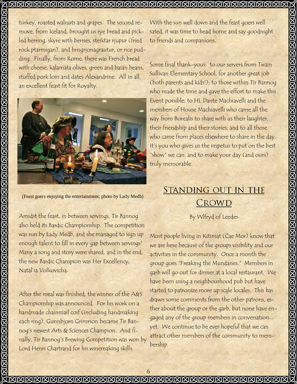## <u> INNANNANNANNANNANNANNANNANNANNAN</u>

turkey, roasted walnuts and grapes. The second remove, from Iceland, brought us rye bread and pickled herring, skyre with berries, steiktar rjupur (fried rock ptarmigan), and hrisgrjonagrautur, or rice pudding. Finally, from Rome, there was French bread with cheese, kalamata olives, green and baian beans, stuffed pork loin and dates Alexandrine. All in all, an excellent feast fit for Royalty.



(Feast goers enjoying the entertainment; photo by Lady Medb)

Amidst the feast, in between servings, Tir Bannog also held its Bardic Championship. The competition was run by Lady Medb, and she managed to sign up enough talent to fill in every gap between servings! Many a song and story were shared, and in the end, the new Bardic Champion was Her Excellency, Natal'ia Volkovicha.

After the meal was finished, the winner of the A&S Championship was announced. For his work on a handmade chainmail coif (including handmaking each ring), Gunnbjorn Grimrson became Tir Bannog's newest Arts & Sciences Champion. And finally, Tir Bannog's Brewing Competition was won by Lord Henri Chartrand for his winemaking skills.

With the sun well down and the feast goers well sated, it was time to head home and say goodnight to friends and companions.

Some final thank-yous: to our servers from Twain Sullivan Elementary School, for another great job (both parents and kids!); to those within Tir Bannog who made the time and gave the effort to make this Event possible; to HL Dante Machiavelli and the members of House Machiavelli who came all the way from Borealis to share with us their laughter, their friendship and their stories; and to all those who came from places elsewhere to share in the day. It's you who gives us the impetus to put on the best "show" we can, and to make your day (and ours) truly memorable.

# **STANDING OUT IN THE** CROWD

By Wlfryd of Leedes

Most people living in Kitimat (Cae Mor) know that we are here because of the groups visibility and our activities in the community. Once a month the group goes "Freaking the Mundanes." Members in garb will go out for dinner at a local restaurant. We have been using a neighbourhood pub but have started to patronize more up scale locales. This has drawn some comments from the other patrons, either about the group or the garb, but none have engaged any of the group members in conversation... yet. We continue to be ever hopeful that we can attract other members of the community to membership.

**KJAJAJAJAJAJAJAJAJAJAJ** 

JØØØØØØØØØØØØØØØ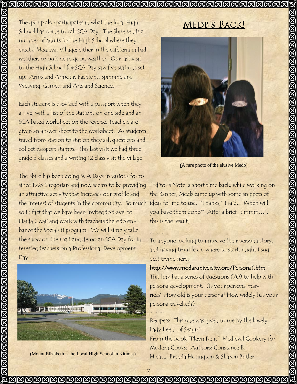## 

The group also participates in what the local High School has come to call SCA Day. The Shire sends a number of adults to the High School where they erect a Medieval Village; either in the cafeteria in bad weather, or outside in good weather. Our last visit to the High School for SCA Day saw five stations set up: Arms and Armour, Fashions, Spinning and Weaving, Games, and Arts and Sciences.

Each student is provided with a passport when they arrive, with a list of the stations on one side and an SCA based worksheet on the reverse. Teachers are given an answer sheet to the worksheet. As students travel from station to station they ask questions and collect passport stamps. This last visit we had three grade 8 classes and a writing 12 class visit the village.

The Shire has been doing SCA Days in various forms since 1995 Gregorian and now seems to be providing an attractive activity that increases our profile and the interest of students in the community. So much ideas for me to use. "Thanks," I said. "When will so in fact that we have been invited to travel to Haida Gwaii and work with teachers there to enhance the Socials 8 program. We will simply take the show on the road and demo an SCA Day for interested teachers on a Professional Development Day.



(Mount Elizabeth - the Local High School in Kitimat)

## MEDB'S BACK!



(A rare photo of the elusive Medb)

[Editor's Note: a short time back, while working on the Banner, Medb came up with some snippets of you have them done?" After a brief "ummm…", this is the result]

To anyone looking to improve their persona story, and having trouble on where to start, might I suggest trying here:

## http://www.modaruniversity.org/Persona1.htm

This link has a series of questions (70) to help with persona development. (Is your persona married? How old is your persona? How widely has your persona travelled?)

 $\sim\sim\sim$ Recipe's: This one was given to me by the lovely Lady Ileen, of Seagirt: From the book "Pleyn Delit" Medieval Cookery for Modern Cooks; Authors: Constance B. Hieatt, Brenda Hosington & Sharon Butler

 $\sim\!\sim\!\sim$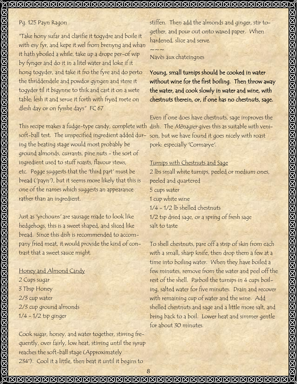$\sim\sim\sim$ 

## Pg. 125 Payn Ragon

"Take hony sufar and clarifie it togydre and boile it with esy fyr, and kepe it wel from brenyng and whan it hath yboiled a while, take up a drope per-of wip by fynger and do it in a litel water and loke if it hong togyder, and take it fro the fyre and do perto the thriddendele and powdor gyngen and stere it togyder til it bigynne to thik and cast it on a wete table; lesh it and serue it forth with fryed mete on dlesh day or on fysshe days" FC 67

This recipe makes a fudge-type candy, complete with dish. The *Mènagier* gives this as suitable with venisoft-ball test. The unspecified ingredient added dur-son, but we have found it goes nicely with roast ing the beating stage would most probably be ground almonds, currants, pine nuts - the sort of ingredient used to stuff roasts, flavour stews, etc. Pegge suggests that the 'third part' must be bread ('payn'), but it seems more likely that this is one of the names which suggests an appearance rather than an ingredient.

Just as 'yrchouns' are sausage made to look like hedgehogs, this is a sweet shaped, and sliced like bread. Since this dish is recommended to accompany fried meat, it would provide the kind of contrast that a sweet sauce might.

Honey and Almond Candy 2 Cups sugar 3 Tbsp Honey 2/3 cup water 2/3 cup ground almonds 1/4 - 1/2 tsp ginger

Cook sugar, honey, and water together, stirring frequently, over fairly, low heat, stirring until the syrup reaches the soft-ball stage (Approximately 234°). Cool it a little, then beat it until it begins to

stiffen. Then add the almonds and ginger, stir together, and pour out onto waxed paper. When hardened, slice and serve.

## Navès aux chateingnes

Young, small turnips should be cooked in water without wine for the first boiling. Then throw away the water, and cook slowly in water and wine, with chestnuts therein, or, if one has no chestnuts, sage.

Even if one does have chestnuts, sage improves the pork: especially 'Cormarye'.

## Turnips with Chestnuts and Sage

2 lbs small white turnips, peeled or medium ones, peeled and quartered 5 cups water 1 cup white wine 1/4 - 1/2 lb shelled chestnuts 1/2 tsp dried sage, or a spring of fresh sage salt to taste

To shell chestnuts, pare off a strip of skin from each with a small, sharp knife, then drop them a few at a time into boiling water. When they have boiled a few minutes, remove from the water and peel off the rest of the shell. Parboil the turnips in 4 cups boiling, salted water for five minutes. Drain and recover with remaining cup of water and the wine. Add shelled chestnuts and sage and a little more salt, and bring back to a boil. Lower heat and simmer gentle for about 30 minutes.